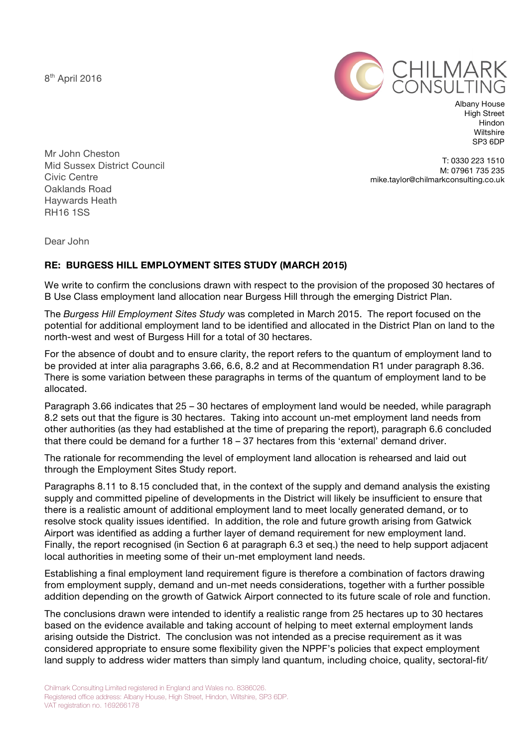8<sup>th</sup> April 2016



Albany House High Street Hindon **Wiltshire** SP3 6DP

Mr John Cheston Mid Sussex District Council Civic Centre Oaklands Road Haywards Heath RH16 1SS

T: 0330 223 1510 M: 07961 735 235 mike.taylor@chilmarkconsulting.co.uk

Dear John

## **RE: BURGESS HILL EMPLOYMENT SITES STUDY (MARCH 2015)**

We write to confirm the conclusions drawn with respect to the provision of the proposed 30 hectares of B Use Class employment land allocation near Burgess Hill through the emerging District Plan.

The *Burgess Hill Employment Sites Study* was completed in March 2015. The report focused on the potential for additional employment land to be identified and allocated in the District Plan on land to the north-west and west of Burgess Hill for a total of 30 hectares.

For the absence of doubt and to ensure clarity, the report refers to the quantum of employment land to be provided at inter alia paragraphs 3.66, 6.6, 8.2 and at Recommendation R1 under paragraph 8.36. There is some variation between these paragraphs in terms of the quantum of employment land to be allocated.

Paragraph 3.66 indicates that 25 – 30 hectares of employment land would be needed, while paragraph 8.2 sets out that the figure is 30 hectares. Taking into account un-met employment land needs from other authorities (as they had established at the time of preparing the report), paragraph 6.6 concluded that there could be demand for a further 18 – 37 hectares from this 'external' demand driver.

The rationale for recommending the level of employment land allocation is rehearsed and laid out through the Employment Sites Study report.

Paragraphs 8.11 to 8.15 concluded that, in the context of the supply and demand analysis the existing supply and committed pipeline of developments in the District will likely be insufficient to ensure that there is a realistic amount of additional employment land to meet locally generated demand, or to resolve stock quality issues identified. In addition, the role and future growth arising from Gatwick Airport was identified as adding a further layer of demand requirement for new employment land. Finally, the report recognised (in Section 6 at paragraph 6.3 et seq.) the need to help support adjacent local authorities in meeting some of their un-met employment land needs.

Establishing a final employment land requirement figure is therefore a combination of factors drawing from employment supply, demand and un-met needs considerations, together with a further possible addition depending on the growth of Gatwick Airport connected to its future scale of role and function.

The conclusions drawn were intended to identify a realistic range from 25 hectares up to 30 hectares based on the evidence available and taking account of helping to meet external employment lands arising outside the District. The conclusion was not intended as a precise requirement as it was considered appropriate to ensure some flexibility given the NPPF's policies that expect employment land supply to address wider matters than simply land quantum, including choice, quality, sectoral-fit/